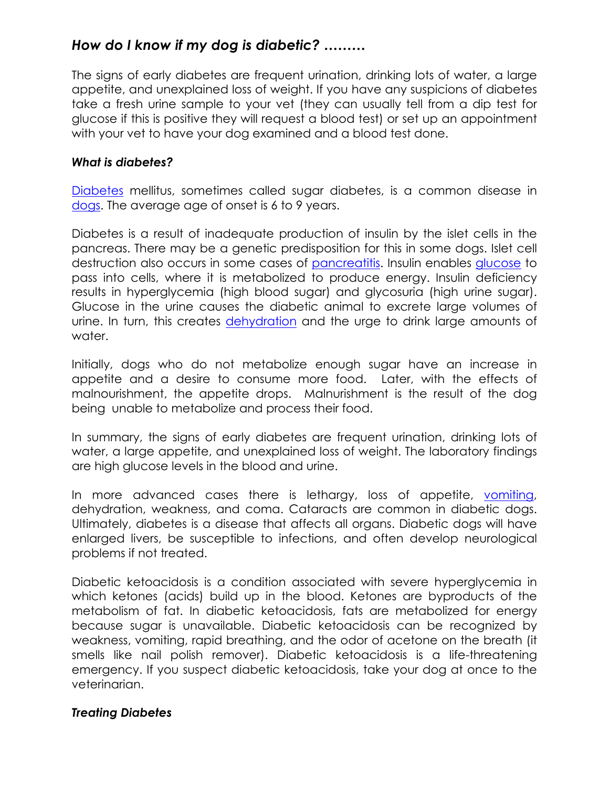# *How do I know if my dog is diabetic? ………*

The signs of early diabetes are frequent urination, drinking lots of water, a large appetite, and unexplained loss of weight. If you have any suspicions of diabetes take a fresh urine sample to your vet (they can usually tell from a dip test for glucose if this is positive they will request a blood test) or set up an appointment with your vet to have your dog examined and a blood test done.

#### *What is diabetes?*

Diabetes mellitus, sometimes called sugar diabetes, is a common disease in dogs. The average age of onset is 6 to 9 years.

Diabetes is a result of inadequate production of insulin by the islet cells in the pancreas. There may be a genetic predisposition for this in some dogs. Islet cell destruction also occurs in some cases of pancreatitis. Insulin enables glucose to pass into cells, where it is metabolized to produce energy. Insulin deficiency results in hyperglycemia (high blood sugar) and glycosuria (high urine sugar). Glucose in the urine causes the diabetic animal to excrete large volumes of urine. In turn, this creates dehydration and the urge to drink large amounts of water.

Initially, dogs who do not metabolize enough sugar have an increase in appetite and a desire to consume more food. Later, with the effects of malnourishment, the appetite drops. Malnurishment is the result of the dog being unable to metabolize and process their food.

In summary, the signs of early diabetes are frequent urination, drinking lots of water, a large appetite, and unexplained loss of weight. The laboratory findings are high glucose levels in the blood and urine.

In more advanced cases there is lethargy, loss of appetite, vomiting, dehydration, weakness, and coma. Cataracts are common in diabetic dogs. Ultimately, diabetes is a disease that affects all organs. Diabetic dogs will have enlarged livers, be susceptible to infections, and often develop neurological problems if not treated.

Diabetic ketoacidosis is a condition associated with severe hyperglycemia in which ketones (acids) build up in the blood. Ketones are byproducts of the metabolism of fat. In diabetic ketoacidosis, fats are metabolized for energy because sugar is unavailable. Diabetic ketoacidosis can be recognized by weakness, vomiting, rapid breathing, and the odor of acetone on the breath (it smells like nail polish remover). Diabetic ketoacidosis is a life-threatening emergency. If you suspect diabetic ketoacidosis, take your dog at once to the veterinarian.

#### *Treating Diabetes*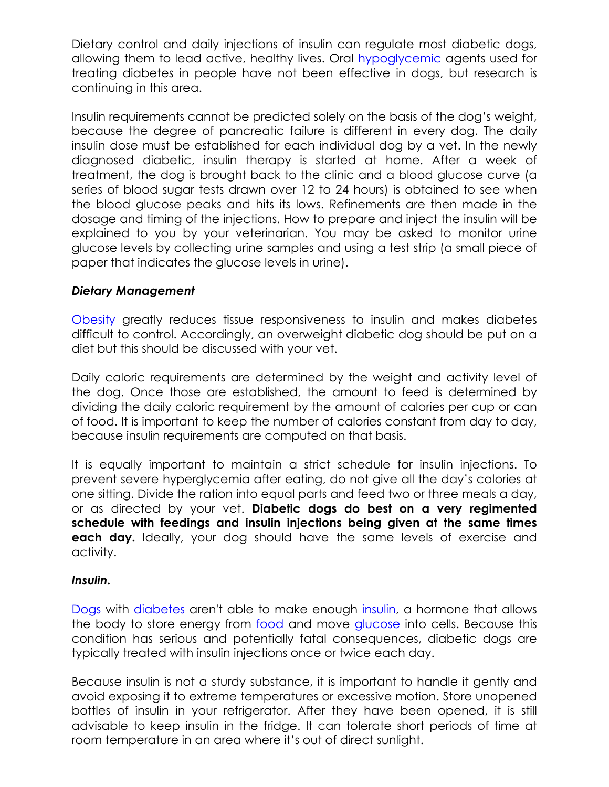Dietary control and daily injections of insulin can regulate most diabetic dogs, allowing them to lead active, healthy lives. Oral hypoglycemic agents used for treating diabetes in people have not been effective in dogs, but research is continuing in this area.

Insulin requirements cannot be predicted solely on the basis of the dog's weight, because the degree of pancreatic failure is different in every dog. The daily insulin dose must be established for each individual dog by a vet. In the newly diagnosed diabetic, insulin therapy is started at home. After a week of treatment, the dog is brought back to the clinic and a blood glucose curve (a series of blood sugar tests drawn over 12 to 24 hours) is obtained to see when the blood glucose peaks and hits its lows. Refinements are then made in the dosage and timing of the injections. How to prepare and inject the insulin will be explained to you by your veterinarian. You may be asked to monitor urine glucose levels by collecting urine samples and using a test strip (a small piece of paper that indicates the glucose levels in urine).

#### *Dietary Management*

Obesity greatly reduces tissue responsiveness to insulin and makes diabetes difficult to control. Accordingly, an overweight diabetic dog should be put on a diet but this should be discussed with your vet.

Daily caloric requirements are determined by the weight and activity level of the dog. Once those are established, the amount to feed is determined by dividing the daily caloric requirement by the amount of calories per cup or can of food. It is important to keep the number of calories constant from day to day, because insulin requirements are computed on that basis.

It is equally important to maintain a strict schedule for insulin injections. To prevent severe hyperglycemia after eating, do not give all the day's calories at one sitting. Divide the ration into equal parts and feed two or three meals a day, or as directed by your vet. **Diabetic dogs do best on a very regimented schedule with feedings and insulin injections being given at the same times each day.** Ideally, your dog should have the same levels of exercise and activity.

#### *Insulin.*

Dogs with diabetes aren't able to make enough insulin, a hormone that allows the body to store energy from food and move glucose into cells. Because this condition has serious and potentially fatal consequences, diabetic dogs are typically treated with insulin injections once or twice each day.

Because insulin is not a sturdy substance, it is important to handle it gently and avoid exposing it to extreme temperatures or excessive motion. Store unopened bottles of insulin in your refrigerator. After they have been opened, it is still advisable to keep insulin in the fridge. It can tolerate short periods of time at room temperature in an area where it's out of direct sunlight.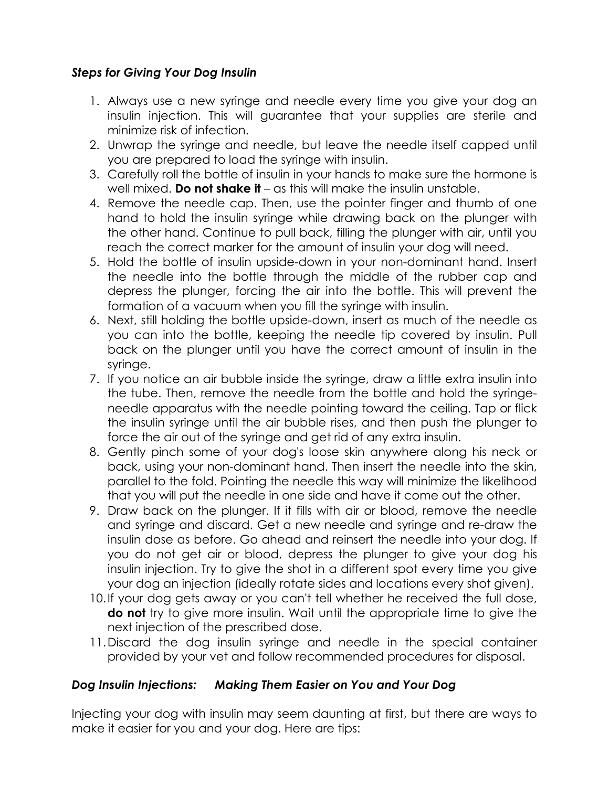## *Steps for Giving Your Dog Insulin*

- 1. Always use a new syringe and needle every time you give your dog an insulin injection. This will guarantee that your supplies are sterile and minimize risk of infection.
- 2. Unwrap the syringe and needle, but leave the needle itself capped until you are prepared to load the syringe with insulin.
- 3. Carefully roll the bottle of insulin in your hands to make sure the hormone is well mixed. **Do not shake it** – as this will make the insulin unstable.
- 4. Remove the needle cap. Then, use the pointer finger and thumb of one hand to hold the insulin syringe while drawing back on the plunger with the other hand. Continue to pull back, filling the plunger with air, until you reach the correct marker for the amount of insulin your dog will need.
- 5. Hold the bottle of insulin upside-down in your non-dominant hand. Insert the needle into the bottle through the middle of the rubber cap and depress the plunger, forcing the air into the bottle. This will prevent the formation of a vacuum when you fill the syringe with insulin.
- 6. Next, still holding the bottle upside-down, insert as much of the needle as you can into the bottle, keeping the needle tip covered by insulin. Pull back on the plunger until you have the correct amount of insulin in the syringe.
- 7. If you notice an air bubble inside the syringe, draw a little extra insulin into the tube. Then, remove the needle from the bottle and hold the syringeneedle apparatus with the needle pointing toward the ceiling. Tap or flick the insulin syringe until the air bubble rises, and then push the plunger to force the air out of the syringe and get rid of any extra insulin.
- 8. Gently pinch some of your dog's loose skin anywhere along his neck or back, using your non-dominant hand. Then insert the needle into the skin, parallel to the fold. Pointing the needle this way will minimize the likelihood that you will put the needle in one side and have it come out the other.
- 9. Draw back on the plunger. If it fills with air or blood, remove the needle and syringe and discard. Get a new needle and syringe and re-draw the insulin dose as before. Go ahead and reinsert the needle into your dog. If you do not get air or blood, depress the plunger to give your dog his insulin injection. Try to give the shot in a different spot every time you give your dog an injection (ideally rotate sides and locations every shot given).
- 10.If your dog gets away or you can't tell whether he received the full dose, **do not** try to give more insulin. Wait until the appropriate time to give the next injection of the prescribed dose.
- 11.Discard the dog insulin syringe and needle in the special container provided by your vet and follow recommended procedures for disposal.

## *Dog Insulin Injections: Making Them Easier on You and Your Dog*

Injecting your dog with insulin may seem daunting at first, but there are ways to make it easier for you and your dog. Here are tips: